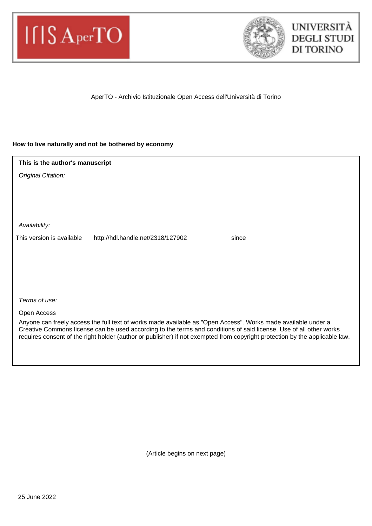



AperTO - Archivio Istituzionale Open Access dell'Università di Torino

# **How to live naturally and not be bothered by economy**

| This is the author's manuscript                                                                                                                                                                                                                                                                                                                                    |  |  |  |  |  |
|--------------------------------------------------------------------------------------------------------------------------------------------------------------------------------------------------------------------------------------------------------------------------------------------------------------------------------------------------------------------|--|--|--|--|--|
| Original Citation:                                                                                                                                                                                                                                                                                                                                                 |  |  |  |  |  |
|                                                                                                                                                                                                                                                                                                                                                                    |  |  |  |  |  |
|                                                                                                                                                                                                                                                                                                                                                                    |  |  |  |  |  |
|                                                                                                                                                                                                                                                                                                                                                                    |  |  |  |  |  |
| Availability:                                                                                                                                                                                                                                                                                                                                                      |  |  |  |  |  |
| This version is available<br>http://hdl.handle.net/2318/127902<br>since                                                                                                                                                                                                                                                                                            |  |  |  |  |  |
|                                                                                                                                                                                                                                                                                                                                                                    |  |  |  |  |  |
|                                                                                                                                                                                                                                                                                                                                                                    |  |  |  |  |  |
|                                                                                                                                                                                                                                                                                                                                                                    |  |  |  |  |  |
|                                                                                                                                                                                                                                                                                                                                                                    |  |  |  |  |  |
| Terms of use:                                                                                                                                                                                                                                                                                                                                                      |  |  |  |  |  |
| Open Access                                                                                                                                                                                                                                                                                                                                                        |  |  |  |  |  |
| Anyone can freely access the full text of works made available as "Open Access". Works made available under a<br>Creative Commons license can be used according to the terms and conditions of said license. Use of all other works<br>requires consent of the right holder (author or publisher) if not exempted from copyright protection by the applicable law. |  |  |  |  |  |

(Article begins on next page)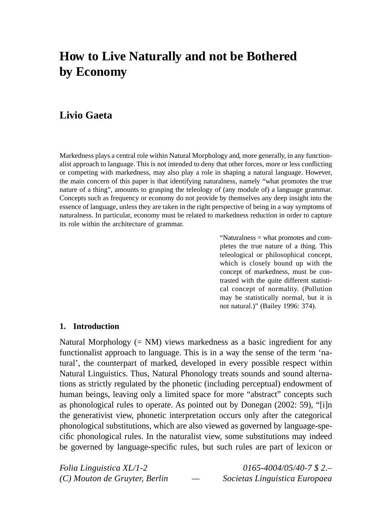# **How to Live Naturally and not be Bothered by Economy**

# **Livio Gaeta**

Markedness plays a central role within Natural Morphology and, more generally, in any functionalist approach to language. This is not intended to deny that other forces, more or less conflicting or competing with markedness, may also play a role in shaping a natural language. However, the main concern of this paper is that identifying naturalness, namely "what promotes the true nature of a thing", amounts to grasping the teleology of (any module of) a language grammar. Concepts such as frequency or economy do not provide by themselves any deep insight into the essence of language, unless they are taken in the right perspective of being in a way symptoms of naturalness. In particular, economy must be related to markedness reduction in order to capture its role within the architecture of grammar.

> "Naturalness = what promotes and completes the true nature of a thing. This teleological or philosophical concept, which is closely bound up with the concept of markedness, must be contrasted with the quite different statistical concept of normality. (Pollution may be statistically normal, but it is not natural.)" (Bailey 1996: 374).

# **1. Introduction**

Natural Morphology  $(= NM)$  views markedness as a basic ingredient for any functionalist approach to language. This is in a way the sense of the term 'natural', the counterpart of marked, developed in every possible respect within Natural Linguistics. Thus, Natural Phonology treats sounds and sound alternations as strictly regulated by the phonetic (including perceptual) endowment of human beings, leaving only a limited space for more "abstract" concepts such as phonological rules to operate. As pointed out by Donegan (2002: 59), "[i]n the generativist view, phonetic interpretation occurs only after the categorical phonological substitutions, which are also viewed as governed by language-specific phonological rules. In the naturalist view, some substitutions may indeed be governed by language-specific rules, but such rules are part of lexicon or

*Folia Linguistica XL/1-2 0165-4004/05/40-7 \$ 2.– (C) Mouton de Gruyter, Berlin — Societas Linguistica Europaea*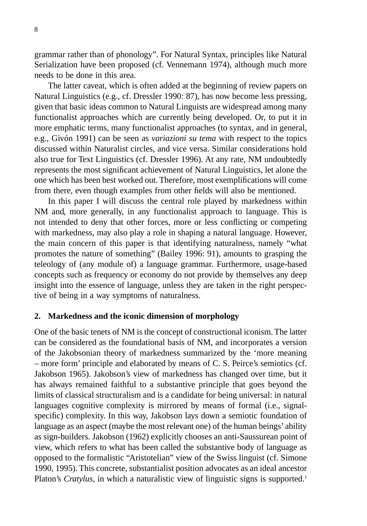grammar rather than of phonology". For Natural Syntax, principles like Natural Serialization have been proposed (cf. Vennemann 1974), although much more needs to be done in this area.

The latter caveat, which is often added at the beginning of review papers on Natural Linguistics (e.g., cf. Dressler 1990: 87), has now become less pressing, given that basic ideas common to Natural Linguists are widespread among many functionalist approaches which are currently being developed. Or, to put it in more emphatic terms, many functionalist approaches (to syntax, and in general, e.g., Givón 1991) can be seen as *variazioni su tema* with respect to the topics discussed within Naturalist circles, and vice versa. Similar considerations hold also true for Text Linguistics (cf. Dressler 1996). At any rate, NM undoubtedly represents the most significant achievement of Natural Linguistics, let alone the one which has been best worked out. Therefore, most exemplifications will come from there, even though examples from other fields will also be mentioned.

In this paper I will discuss the central role played by markedness within NM and, more generally, in any functionalist approach to language. This is not intended to deny that other forces, more or less conflicting or competing with markedness, may also play a role in shaping a natural language. However, the main concern of this paper is that identifying naturalness, namely "what promotes the nature of something" (Bailey 1996: 91), amounts to grasping the teleology of (any module of) a language grammar. Furthermore, usage-based concepts such as frequency or economy do not provide by themselves any deep insight into the essence of language, unless they are taken in the right perspective of being in a way symptoms of naturalness.

### **2. Markedness and the iconic dimension of morphology**

One of the basic tenets of NM is the concept of constructional iconism. The latter can be considered as the foundational basis of NM, and incorporates a version of the Jakobsonian theory of markedness summarized by the 'more meaning – more form' principle and elaborated by means of C. S. Peirce's semiotics (cf. Jakobson 1965). Jakobson's view of markedness has changed over time, but it has always remained faithful to a substantive principle that goes beyond the limits of classical structuralism and is a candidate for being universal: in natural languages cognitive complexity is mirrored by means of formal (i.e., signalspecific) complexity. In this way, Jakobson lays down a semiotic foundation of language as an aspect (maybe the most relevant one) of the human beings' ability as sign-builders. Jakobson (1962) explicitly chooses an anti-Saussurean point of view, which refers to what has been called the substantive body of language as opposed to the formalistic "Aristotelian" view of the Swiss linguist (cf. Simone 1990, 1995). This concrete, substantialist position advocates as an ideal ancestor Platon's *Cratylus*, in which a naturalistic view of linguistic signs is supported.<sup>1</sup>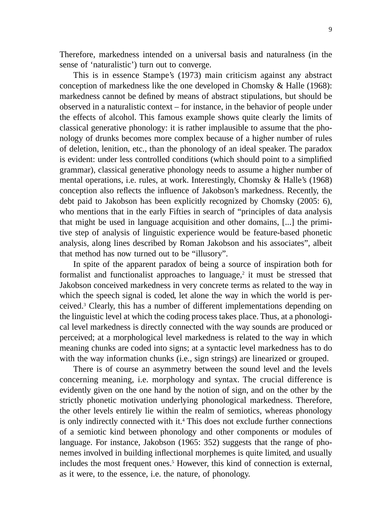Therefore, markedness intended on a universal basis and naturalness (in the sense of 'naturalistic') turn out to converge.

This is in essence Stampe's (1973) main criticism against any abstract conception of markedness like the one developed in Chomsky & Halle (1968): markedness cannot be defined by means of abstract stipulations, but should be observed in a naturalistic context – for instance, in the behavior of people under the effects of alcohol. This famous example shows quite clearly the limits of classical generative phonology: it is rather implausible to assume that the phonology of drunks becomes more complex because of a higher number of rules of deletion, lenition, etc., than the phonology of an ideal speaker. The paradox is evident: under less controlled conditions (which should point to a simplified grammar), classical generative phonology needs to assume a higher number of mental operations, i.e. rules, at work. Interestingly, Chomsky & Halle's (1968) conception also reflects the influence of Jakobson's markedness. Recently, the debt paid to Jakobson has been explicitly recognized by Chomsky (2005: 6), who mentions that in the early Fifties in search of "principles of data analysis that might be used in language acquisition and other domains, [...] the primitive step of analysis of linguistic experience would be feature-based phonetic analysis, along lines described by Roman Jakobson and his associates", albeit that method has now turned out to be "illusory".

In spite of the apparent paradox of being a source of inspiration both for formalist and functionalist approaches to language, $2$  it must be stressed that Jakobson conceived markedness in very concrete terms as related to the way in which the speech signal is coded, let alone the way in which the world is perceived.3 Clearly, this has a number of different implementations depending on the linguistic level at which the coding process takes place. Thus, at a phonological level markedness is directly connected with the way sounds are produced or perceived; at a morphological level markedness is related to the way in which meaning chunks are coded into signs; at a syntactic level markedness has to do with the way information chunks (i.e., sign strings) are linearized or grouped.

There is of course an asymmetry between the sound level and the levels concerning meaning, i.e. morphology and syntax. The crucial difference is evidently given on the one hand by the notion of sign, and on the other by the strictly phonetic motivation underlying phonological markedness. Therefore, the other levels entirely lie within the realm of semiotics, whereas phonology is only indirectly connected with it.<sup>4</sup> This does not exclude further connections of a semiotic kind between phonology and other components or modules of language. For instance, Jakobson (1965: 352) suggests that the range of phonemes involved in building inflectional morphemes is quite limited, and usually includes the most frequent ones.<sup>5</sup> However, this kind of connection is external, as it were, to the essence, i.e. the nature, of phonology.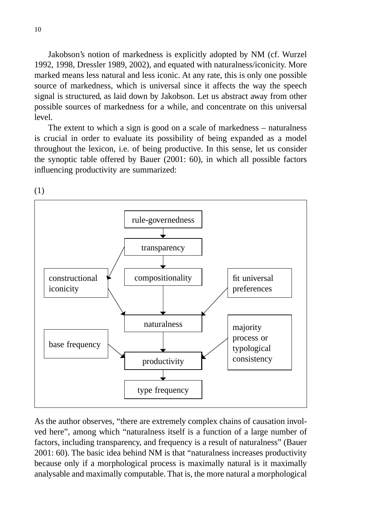Jakobson's notion of markedness is explicitly adopted by NM (cf. Wurzel 1992, 1998, Dressler 1989, 2002), and equated with naturalness/iconicity. More marked means less natural and less iconic. At any rate, this is only one possible source of markedness, which is universal since it affects the way the speech signal is structured, as laid down by Jakobson. Let us abstract away from other possible sources of markedness for a while, and concentrate on this universal level.

The extent to which a sign is good on a scale of markedness – naturalness is crucial in order to evaluate its possibility of being expanded as a model throughout the lexicon, i.e. of being productive. In this sense, let us consider the synoptic table offered by Bauer (2001: 60), in which all possible factors influencing productivity are summarized:



As the author observes, "there are extremely complex chains of causation involved here", among which "naturalness itself is a function of a large number of factors, including transparency, and frequency is a result of naturalness" (Bauer 2001: 60). The basic idea behind NM is that "naturalness increases productivity because only if a morphological process is maximally natural is it maximally analysable and maximally computable. That is, the more natural a morphological

(1)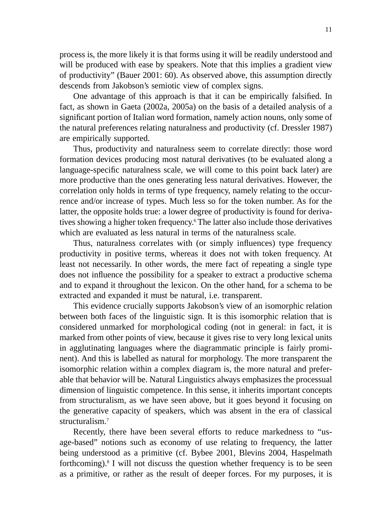process is, the more likely it is that forms using it will be readily understood and will be produced with ease by speakers. Note that this implies a gradient view of productivity" (Bauer 2001: 60). As observed above, this assumption directly descends from Jakobson's semiotic view of complex signs.

One advantage of this approach is that it can be empirically falsified. In fact, as shown in Gaeta (2002a, 2005a) on the basis of a detailed analysis of a significant portion of Italian word formation, namely action nouns, only some of the natural preferences relating naturalness and productivity (cf. Dressler 1987) are empirically supported.

Thus, productivity and naturalness seem to correlate directly: those word formation devices producing most natural derivatives (to be evaluated along a language-specific naturalness scale, we will come to this point back later) are more productive than the ones generating less natural derivatives. However, the correlation only holds in terms of type frequency, namely relating to the occurrence and/or increase of types. Much less so for the token number. As for the latter, the opposite holds true: a lower degree of productivity is found for derivatives showing a higher token frequency.<sup>6</sup> The latter also include those derivatives which are evaluated as less natural in terms of the naturalness scale.

Thus, naturalness correlates with (or simply influences) type frequency productivity in positive terms, whereas it does not with token frequency. At least not necessarily. In other words, the mere fact of repeating a single type does not influence the possibility for a speaker to extract a productive schema and to expand it throughout the lexicon. On the other hand, for a schema to be extracted and expanded it must be natural, i.e. transparent.

This evidence crucially supports Jakobson's view of an isomorphic relation between both faces of the linguistic sign. It is this isomorphic relation that is considered unmarked for morphological coding (not in general: in fact, it is marked from other points of view, because it gives rise to very long lexical units in agglutinating languages where the diagrammatic principle is fairly prominent). And this is labelled as natural for morphology. The more transparent the isomorphic relation within a complex diagram is, the more natural and preferable that behavior will be. Natural Linguistics always emphasizes the processual dimension of linguistic competence. In this sense, it inherits important concepts from structuralism, as we have seen above, but it goes beyond it focusing on the generative capacity of speakers, which was absent in the era of classical structuralism.7

Recently, there have been several efforts to reduce markedness to "usage-based" notions such as economy of use relating to frequency, the latter being understood as a primitive (cf. Bybee 2001, Blevins 2004, Haspelmath forthcoming).8 I will not discuss the question whether frequency is to be seen as a primitive, or rather as the result of deeper forces. For my purposes, it is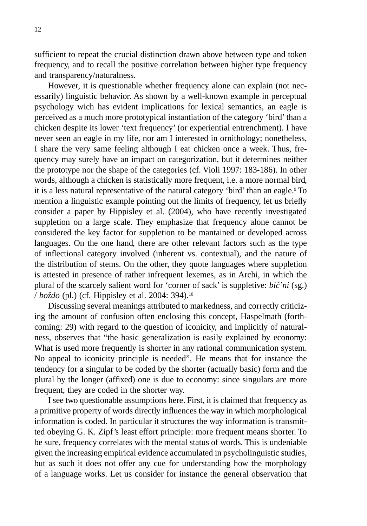sufficient to repeat the crucial distinction drawn above between type and token frequency, and to recall the positive correlation between higher type frequency and transparency/naturalness.

However, it is questionable whether frequency alone can explain (not necessarily) linguistic behavior. As shown by a well-known example in perceptual psychology wich has evident implications for lexical semantics, an eagle is perceived as a much more prototypical instantiation of the category 'bird' than a chicken despite its lower 'text frequency' (or experiential entrenchment). I have never seen an eagle in my life, nor am I interested in ornithology; nonetheless, I share the very same feeling although I eat chicken once a week. Thus, frequency may surely have an impact on categorization, but it determines neither the prototype nor the shape of the categories (cf. Violi 1997: 183-186). In other words, although a chicken is statistically more frequent, i.e. a more normal bird, it is a less natural representative of the natural category 'bird' than an eagle.<sup>9</sup> To mention a linguistic example pointing out the limits of frequency, let us briefly consider a paper by Hippisley et al. (2004), who have recently investigated suppletion on a large scale. They emphasize that frequency alone cannot be considered the key factor for suppletion to be mantained or developed across languages. On the one hand, there are other relevant factors such as the type of infl ectional category involved (inherent vs. contextual), and the nature of the distribution of stems. On the other, they quote languages where suppletion is attested in presence of rather infrequent lexemes, as in Archi, in which the plural of the scarcely salient word for 'corner of sack' is suppletive: *bič'ni* (sg.) / *boždo* (pl.) (cf. Hippisley et al. 2004: 394).10

Discussing several meanings attributed to markedness, and correctly criticizing the amount of confusion often enclosing this concept, Haspelmath (forthcoming: 29) with regard to the question of iconicity, and implicitly of naturalness, observes that "the basic generalization is easily explained by economy: What is used more frequently is shorter in any rational communication system. No appeal to iconicity principle is needed". He means that for instance the tendency for a singular to be coded by the shorter (actually basic) form and the plural by the longer (affixed) one is due to economy: since singulars are more frequent, they are coded in the shorter way.

I see two questionable assumptions here. First, it is claimed that frequency as a primitive property of words directly influences the way in which morphological information is coded. In particular it structures the way information is transmitted obeying G. K. Zipf's least effort principle: more frequent means shorter. To be sure, frequency correlates with the mental status of words. This is undeniable given the increasing empirical evidence accumulated in psycholinguistic studies, but as such it does not offer any cue for understanding how the morphology of a language works. Let us consider for instance the general observation that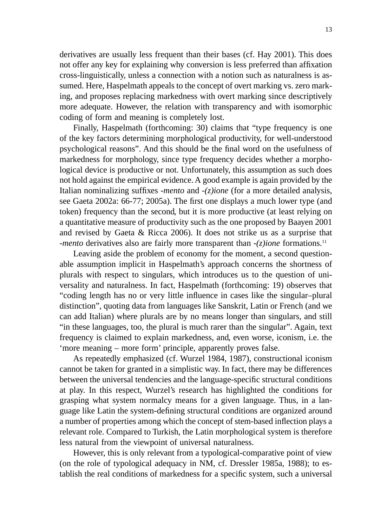derivatives are usually less frequent than their bases (cf. Hay 2001). This does not offer any key for explaining why conversion is less preferred than affixation cross-linguistically, unless a connection with a notion such as naturalness is assumed. Here, Haspelmath appeals to the concept of overt marking vs. zero marking, and proposes replacing markedness with overt marking since descriptively more adequate. However, the relation with transparency and with isomorphic coding of form and meaning is completely lost.

Finally, Haspelmath (forthcoming: 30) claims that "type frequency is one of the key factors determining morphological productivity, for well-understood psychological reasons". And this should be the final word on the usefulness of markedness for morphology, since type frequency decides whether a morphological device is productive or not. Unfortunately, this assumption as such does not hold against the empirical evidence. A good example is again provided by the Italian nominalizing suffixes *-mento* and *-(z)ione* (for a more detailed analysis, see Gaeta 2002a: 66-77; 2005a). The first one displays a much lower type (and token) frequency than the second, but it is more productive (at least relying on a quantitative measure of productivity such as the one proposed by Baayen 2001 and revised by Gaeta & Ricca 2006). It does not strike us as a surprise that *-mento* derivatives also are fairly more transparent than *-(z)ione* formations.<sup>11</sup>

Leaving aside the problem of economy for the moment, a second questionable assumption implicit in Haspelmath's approach concerns the shortness of plurals with respect to singulars, which introduces us to the question of universality and naturalness. In fact, Haspelmath (forthcoming: 19) observes that "coding length has no or very little influence in cases like the singular-plural distinction", quoting data from languages like Sanskrit, Latin or French (and we can add Italian) where plurals are by no means longer than singulars, and still "in these languages, too, the plural is much rarer than the singular". Again, text frequency is claimed to explain markedness, and, even worse, iconism, i.e. the 'more meaning – more form' principle, apparently proves false.

As repeatedly emphasized (cf. Wurzel 1984, 1987), constructional iconism cannot be taken for granted in a simplistic way. In fact, there may be differences between the universal tendencies and the language-specific structural conditions at play. In this respect, Wurzel's research has highlighted the conditions for grasping what system normalcy means for a given language. Thus, in a language like Latin the system-defining structural conditions are organized around a number of properties among which the concept of stem-based inflection plays a relevant role. Compared to Turkish, the Latin morphological system is therefore less natural from the viewpoint of universal naturalness.

However, this is only relevant from a typological-comparative point of view (on the role of typological adequacy in NM, cf. Dressler 1985a, 1988); to establish the real conditions of markedness for a specific system, such a universal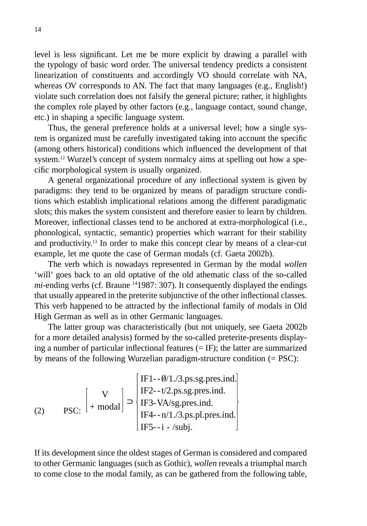level is less significant. Let me be more explicit by drawing a parallel with the typology of basic word order. The universal tendency predicts a consistent linearization of constituents and accordingly VO should correlate with NA, whereas OV corresponds to AN. The fact that many languages (e.g., English!) violate such correlation does not falsify the general picture; rather, it highlights the complex role played by other factors (e.g., language contact, sound change, etc.) in shaping a specific language system.

Thus, the general preference holds at a universal level; how a single system is organized must be carefully investigated taking into account the specific (among others historical) conditions which influenced the development of that system.12 Wurzel's concept of system normalcy aims at spelling out how a specific morphological system is usually organized.

A general organizational procedure of any inflectional system is given by paradigms: they tend to be organized by means of paradigm structure conditions which establish implicational relations among the different paradigmatic slots; this makes the system consistent and therefore easier to learn by children. Moreover, inflectional classes tend to be anchored at extra-morphological (i.e., phonological, syntactic, semantic) properties which warrant for their stability and productivity.13 In order to make this concept clear by means of a clear-cut example, let me quote the case of German modals (cf. Gaeta 2002b).

The verb which is nowadays represented in German by the modal *wollen*  'will' goes back to an old optative of the old athematic class of the so-called  $mi$ -ending verbs (cf. Braune  $141987: 307$ ). It consequently displayed the endings that usually appeared in the preterite subjunctive of the other inflectional classes. This verb happened to be attracted by the inflectional family of modals in Old High German as well as in other Germanic languages.

The latter group was characteristically (but not uniquely, see Gaeta 2002b for a more detailed analysis) formed by the so-called preterite-presents displaying a number of particular inflectional features  $(= IF)$ ; the latter are summarized by means of the following Wurzelian paradigm-structure condition (= PSC):

(2) PSC: 
$$
\begin{bmatrix} V \\ + \text{ modal} \end{bmatrix} \supset \begin{bmatrix} IF1 - \frac{\theta}{1.73} \text{ps.sg.pres.ind.} \\ IF2 - \frac{\frac{1}{2}F2 - \frac{t}{2.98} \text{sg.pres.ind.}}{1F3 - \frac{V}{2.98} \text{sg.pres.ind.}} \\ IF4 - \frac{n}{1.73} \text{ps.ples.ind.} \\ IF5 - i - \frac{\text{subj.}}{1.73} \text{ps.pres.ind.} \end{bmatrix}
$$

If its development since the oldest stages of German is considered and compared to other Germanic languages (such as Gothic), *wollen* reveals a triumphal march to come close to the modal family, as can be gathered from the following table,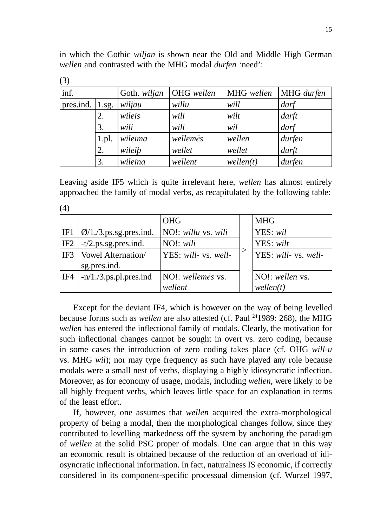| $\sim$    |                |              |                   |            |            |  |
|-----------|----------------|--------------|-------------------|------------|------------|--|
| inf.      |                | Goth. wiljan | <b>OHG</b> wellen | MHG wellen | MHG durfen |  |
| pres.ind. | $1.\text{sg.}$ | wiljau       | willu             | will       | darf       |  |
|           | 2.             | wileis       | wili              | wilt       | darft      |  |
|           | 3.             | wili         | wili              | wil        | darf       |  |
|           | $1$ .pl.       | wileima      | wellemes          | wellen     | durfen     |  |
|           | 2.             | wileib       | wellet            | wellet     | durft      |  |
|           | 3.             | wileina      | wellent           | wellen(t)  | durfen     |  |

in which the Gothic *wiljan* is shown near the Old and Middle High German *wellen* and contrasted with the MHG modal *durfen* 'need':

 $(3)$ 

 $(4)$ 

Leaving aside IF5 which is quite irrelevant here, *wellen* has almost entirely approached the family of modal verbs, as recapitulated by the following table:

| $\tau$          |                                     |                      |                      |
|-----------------|-------------------------------------|----------------------|----------------------|
|                 |                                     | <b>OHG</b>           | <b>MHG</b>           |
| IF1             | $\varnothing$ /1./3.ps.sg.pres.ind. | NO!: willu vs. wili  | YES: wil             |
| IF <sub>2</sub> | $-t/2$ .ps.sg.pres.ind.             | $NO!$ : wili         | YES: wilt            |
| IF3             | Vowel Alternation/<br>sg.pres.ind.  | YES: will- vs. well- | YES: will- vs. well- |
| IF4             | $-n/1./3.ps.pl.pres.ind$            | NO!: wellemes vs.    | NO!: wellen vs.      |
|                 |                                     | wellent              | wellen(t)            |

Except for the deviant IF4, which is however on the way of being levelled because forms such as *wellen* are also attested (cf. Paul 241989: 268), the MHG *wellen* has entered the inflectional family of modals. Clearly, the motivation for such inflectional changes cannot be sought in overt vs. zero coding, because in some cases the introduction of zero coding takes place (cf. OHG *will-u* vs. MHG *wil*); nor may type frequency as such have played any role because modals were a small nest of verbs, displaying a highly idiosyncratic inflection. Moreover, as for economy of usage, modals, including *wellen*, were likely to be all highly frequent verbs, which leaves little space for an explanation in terms of the least effort.

If, however, one assumes that *wellen* acquired the extra-morphological property of being a modal, then the morphological changes follow, since they contributed to levelling markedness off the system by anchoring the paradigm of *wellen* at the solid PSC proper of modals. One can argue that in this way an economic result is obtained because of the reduction of an overload of idiosyncratic infl ectional information. In fact, naturalness IS economic, if correctly considered in its component-specific processual dimension (cf. Wurzel 1997,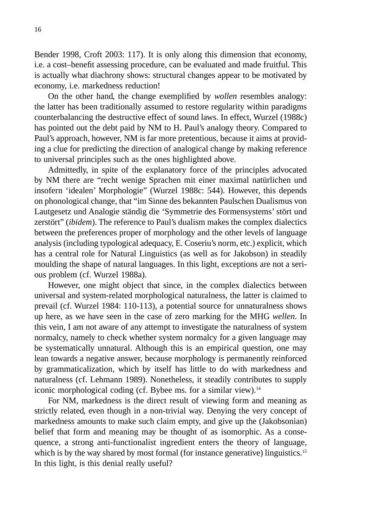Bender 1998, Croft 2003: 117). It is only along this dimension that economy, i.e. a cost–benefit assessing procedure, can be evaluated and made fruitful. This is actually what diachrony shows: structural changes appear to be motivated by economy, i.e. markedness reduction!

On the other hand, the change exemplified by *wollen* resembles analogy: the latter has been traditionally assumed to restore regularity within paradigms counterbalancing the destructive effect of sound laws. In effect, Wurzel (1988c) has pointed out the debt paid by NM to H. Paul's analogy theory. Compared to Paul's approach, however, NM is far more pretentious, because it aims at providing a clue for predicting the direction of analogical change by making reference to universal principles such as the ones highlighted above.

Admittedly, in spite of the explanatory force of the principles advocated by NM there are "recht wenige Sprachen mit einer maximal natürlichen und insofern 'idealen' Morphologie" (Wurzel 1988c: 544). However, this depends on phonological change, that "im Sinne des bekannten Paulschen Dualismus von Lautgesetz und Analogie ständig die 'Symmetrie des Formensystems' stört und zerstört" (*ibidem*). The reference to Paul's dualism makes the complex dialectics between the preferences proper of morphology and the other levels of language analysis (including typological adequacy, E. Coseriu's norm, etc.) explicit, which has a central role for Natural Linguistics (as well as for Jakobson) in steadily moulding the shape of natural languages. In this light, exceptions are not a serious problem (cf. Wurzel 1988a).

However, one might object that since, in the complex dialectics between universal and system-related morphological naturalness, the latter is claimed to prevail (cf. Wurzel 1984: 110-113), a potential source for unnaturalness shows up here, as we have seen in the case of zero marking for the MHG *wellen*. In this vein, I am not aware of any attempt to investigate the naturalness of system normalcy, namely to check whether system normalcy for a given language may be systematically unnatural. Although this is an empirical question, one may lean towards a negative answer, because morphology is permanently reinforced by grammaticalization, which by itself has little to do with markedness and naturalness (cf. Lehmann 1989). Nonetheless, it steadily contributes to supply iconic morphological coding (cf. Bybee ms. for a similar view).14

For NM, markedness is the direct result of viewing form and meaning as strictly related, even though in a non-trivial way. Denying the very concept of markedness amounts to make such claim empty, and give up the (Jakobsonian) belief that form and meaning may be thought of as isomorphic. As a consequence, a strong anti-functionalist ingredient enters the theory of language, which is by the way shared by most formal (for instance generative) linguistics.<sup>15</sup> In this light, is this denial really useful?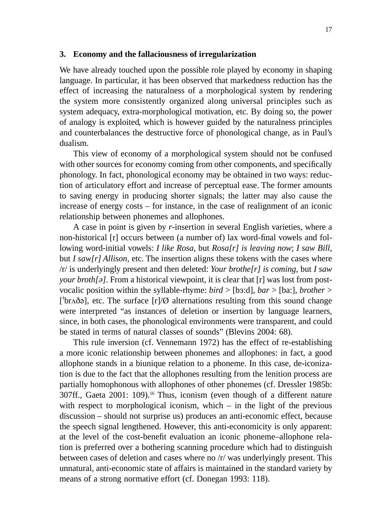#### **3. Economy and the fallaciousness of irregularization**

We have already touched upon the possible role played by economy in shaping language. In particular, it has been observed that markedness reduction has the effect of increasing the naturalness of a morphological system by rendering the system more consistently organized along universal principles such as system adequacy, extra-morphological motivation, etc. By doing so, the power of analogy is exploited, which is however guided by the naturalness principles and counterbalances the destructive force of phonological change, as in Paul's dualism.

This view of economy of a morphological system should not be confused with other sources for economy coming from other components, and specifically phonology. In fact, phonological economy may be obtained in two ways: reduction of articulatory effort and increase of perceptual ease. The former amounts to saving energy in producing shorter signals; the latter may also cause the increase of energy costs – for instance, in the case of realignment of an iconic relationship between phonemes and allophones.

A case in point is given by *r*-insertion in several English varieties, where a non-historical [r] occurs between (a number of) lax word-final vowels and following word-initial vowels: *I like Rosa*, but *Rosa[r] is leaving now*; *I saw Bill*, but *I saw[r] Allison*, etc. The insertion aligns these tokens with the cases where /r/ is underlyingly present and then deleted: *Your brothe[r] is coming*, but *I saw your broth[a]*. From a historical viewpoint, it is clear that [r] was lost from postvocalic position within the syllable-rhyme:  $bird > [b3: d]$ ,  $bar > [ba:]$ , *brother* > [ $^{\prime}$ br $\Delta \delta$ ə], etc. The surface  $[r]/\mathcal{O}$  alternations resulting from this sound change were interpreted "as instances of deletion or insertion by language learners, since, in both cases, the phonological environments were transparent, and could be stated in terms of natural classes of sounds" (Blevins 2004: 68).

This rule inversion (cf. Vennemann 1972) has the effect of re-establishing a more iconic relationship between phonemes and allophones: in fact, a good allophone stands in a biunique relation to a phoneme. In this case, de-iconization is due to the fact that the allophones resulting from the lenition process are partially homophonous with allophones of other phonemes (cf. Dressler 1985b: 307ff., Gaeta 2001: 109).16 Thus, iconism (even though of a different nature with respect to morphological iconism, which – in the light of the previous discussion – should not surprise us) produces an anti-economic effect, because the speech signal lengthened. However, this anti-economicity is only apparent: at the level of the cost-benefi t evaluation an iconic phoneme–allophone relation is preferred over a bothering scanning procedure which had to distinguish between cases of deletion and cases where no /r/ was underlyingly present. This unnatural, anti-economic state of affairs is maintained in the standard variety by means of a strong normative effort (cf. Donegan 1993: 118).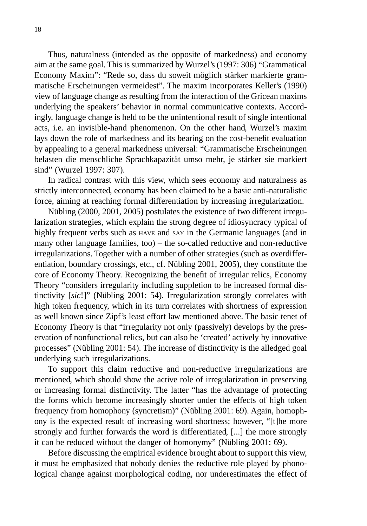Thus, naturalness (intended as the opposite of markedness) and economy aim at the same goal. This is summarized by Wurzel's (1997: 306) "Grammatical Economy Maxim": "Rede so, dass du soweit möglich stärker markierte grammatische Erscheinungen vermeidest". The maxim incorporates Keller's (1990) view of language change as resulting from the interaction of the Gricean maxims underlying the speakers' behavior in normal communicative contexts. Accordingly, language change is held to be the unintentional result of single intentional acts, i.e. an invisible-hand phenomenon. On the other hand, Wurzel's maxim lays down the role of markedness and its bearing on the cost-benefit evaluation by appealing to a general markedness universal: "Grammatische Erscheinungen belasten die menschliche Sprachkapazität umso mehr, je stärker sie markiert sind" (Wurzel 1997: 307).

In radical contrast with this view, which sees economy and naturalness as strictly interconnected, economy has been claimed to be a basic anti-naturalistic force, aiming at reaching formal differentiation by increasing irregularization.

Nübling (2000, 2001, 2005) postulates the existence of two different irregularization strategies, which explain the strong degree of idiosyncracy typical of highly frequent verbs such as HAVE and SAY in the Germanic languages (and in many other language families, too) – the so-called reductive and non-reductive irregularizations. Together with a number of other strategies (such as overdifferentiation, boundary crossings, etc., cf. Nübling 2001, 2005), they constitute the core of Economy Theory. Recognizing the benefit of irregular relics, Economy Theory "considers irregularity including suppletion to be increased formal distinctivity [*sic*!]" (Nübling 2001: 54). Irregularization strongly correlates with high token frequency, which in its turn correlates with shortness of expression as well known since Zipf's least effort law mentioned above. The basic tenet of Economy Theory is that "irregularity not only (passively) develops by the preservation of nonfunctional relics, but can also be 'created' actively by innovative processes" (Nübling 2001: 54). The increase of distinctivity is the alledged goal underlying such irregularizations.

To support this claim reductive and non-reductive irregularizations are mentioned, which should show the active role of irregularization in preserving or increasing formal distinctivity. The latter "has the advantage of protecting the forms which become increasingly shorter under the effects of high token frequency from homophony (syncretism)" (Nübling 2001: 69). Again, homophony is the expected result of increasing word shortness; however, "[t]he more strongly and further forwards the word is differentiated, [...] the more strongly it can be reduced without the danger of homonymy" (Nübling 2001: 69).

Before discussing the empirical evidence brought about to support this view, it must be emphasized that nobody denies the reductive role played by phonological change against morphological coding, nor underestimates the effect of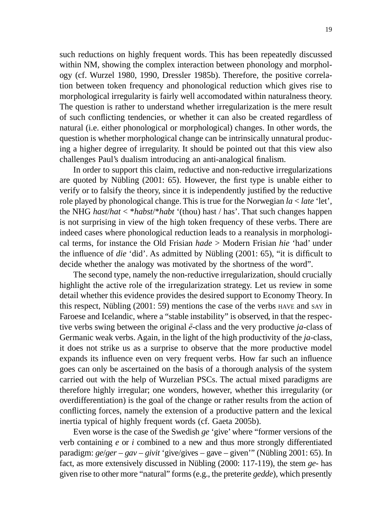such reductions on highly frequent words. This has been repeatedly discussed within NM, showing the complex interaction between phonology and morphology (cf. Wurzel 1980, 1990, Dressler 1985b). Therefore, the positive correlation between token frequency and phonological reduction which gives rise to morphological irregularity is fairly well accomodated within naturalness theory. The question is rather to understand whether irregularization is the mere result of such conflicting tendencies, or whether it can also be created regardless of natural (i.e. either phonological or morphological) changes. In other words, the question is whether morphological change can be intrinsically unnatural producing a higher degree of irregularity. It should be pointed out that this view also challenges Paul's dualism introducing an anti-analogical finalism.

In order to support this claim, reductive and non-reductive irregularizations are quoted by Nübling  $(2001: 65)$ . However, the first type is unable either to verify or to falsify the theory, since it is independently justified by the reductive role played by phonological change. This is true for the Norwegian *la* < *late* 'let', the NHG *hast*/*hat* < \**habst*/\**habt* '(thou) hast / has'. That such changes happen is not surprising in view of the high token frequency of these verbs. There are indeed cases where phonological reduction leads to a reanalysis in morphological terms, for instance the Old Frisian *hade* > Modern Frisian *hie* 'had' under the influence of *die* 'did'. As admitted by Nübling (2001: 65), "it is difficult to decide whether the analogy was motivated by the shortness of the word".

The second type, namely the non-reductive irregularization, should crucially highlight the active role of the irregularization strategy. Let us review in some detail whether this evidence provides the desired support to Economy Theory. In this respect, Nübling (2001: 59) mentions the case of the verbs HAVE and SAY in Faroese and Icelandic, where a "stable instability" is observed, in that the respective verbs swing between the original *ē*-class and the very productive *ja*-class of Germanic weak verbs. Again, in the light of the high productivity of the *ja*-class, it does not strike us as a surprise to observe that the more productive model expands its influence even on very frequent verbs. How far such an influence goes can only be ascertained on the basis of a thorough analysis of the system carried out with the help of Wurzelian PSCs. The actual mixed paradigms are therefore highly irregular; one wonders, however, whether this irregularity (or overdifferentiation) is the goal of the change or rather results from the action of conflicting forces, namely the extension of a productive pattern and the lexical inertia typical of highly frequent words (cf. Gaeta 2005b).

Even worse is the case of the Swedish *ge* 'give' where "former versions of the verb containing *e* or *i* combined to a new and thus more strongly differentiated paradigm: *ge*/*ger* – *gav* – *givit* 'give/gives – gave – given'" (Nübling 2001: 65). In fact, as more extensively discussed in Nübling (2000: 117-119), the stem *ge-* has given rise to other more "natural" forms (e.g., the preterite *gedde*), which presently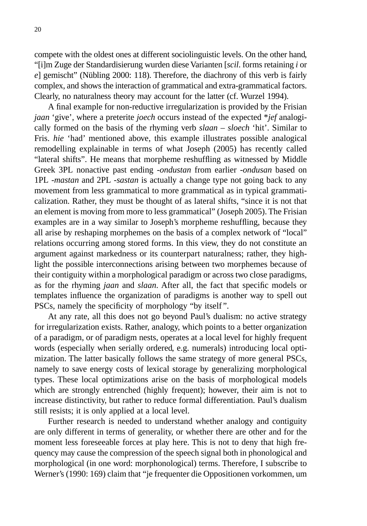compete with the oldest ones at different sociolinguistic levels. On the other hand, "[i]m Zuge der Standardisierung wurden diese Varianten [*scil*. forms retaining *i* or *e*] gemischt" (Nübling 2000: 118). Therefore, the diachrony of this verb is fairly complex, and shows the interaction of grammatical and extra-grammatical factors. Clearly, no naturalness theory may account for the latter (cf. Wurzel 1994).

A final example for non-reductive irregularization is provided by the Frisian *jaan* 'give', where a preterite *joech* occurs instead of the expected \**jef* analogically formed on the basis of the rhyming verb *slaan* – *sloech* 'hit'. Similar to Fris. *hie* 'had' mentioned above, this example illustrates possible analogical remodelling explainable in terms of what Joseph (2005) has recently called "lateral shifts". He means that morpheme reshuffling as witnessed by Middle Greek 3PL nonactive past ending *-ondustan* from earlier *-ondusan* based on 1PL *-mastan* and 2PL *-sastan* is actually a change type not going back to any movement from less grammatical to more grammatical as in typical grammaticalization. Rather, they must be thought of as lateral shifts, "since it is not that an element is moving from more to less grammatical" (Joseph 2005). The Frisian examples are in a way similar to Joseph's morpheme reshuffling, because they all arise by reshaping morphemes on the basis of a complex network of "local" relations occurring among stored forms. In this view, they do not constitute an argument against markedness or its counterpart naturalness; rather, they highlight the possible interconnections arising between two morphemes because of their contiguity within a morphological paradigm or across two close paradigms, as for the rhyming *jaan* and *slaan*. After all, the fact that specific models or templates influence the organization of paradigms is another way to spell out PSCs, namely the specificity of morphology "by itself".

At any rate, all this does not go beyond Paul's dualism: no active strategy for irregularization exists. Rather, analogy, which points to a better organization of a paradigm, or of paradigm nests, operates at a local level for highly frequent words (especially when serially ordered, e.g. numerals) introducing local optimization. The latter basically follows the same strategy of more general PSCs, namely to save energy costs of lexical storage by generalizing morphological types. These local optimizations arise on the basis of morphological models which are strongly entrenched (highly frequent); however, their aim is not to increase distinctivity, but rather to reduce formal differentiation. Paul's dualism still resists; it is only applied at a local level.

Further research is needed to understand whether analogy and contiguity are only different in terms of generality, or whether there are other and for the moment less foreseeable forces at play here. This is not to deny that high frequency may cause the compression of the speech signal both in phonological and morphological (in one word: morphonological) terms. Therefore, I subscribe to Werner's (1990: 169) claim that "je frequenter die Oppositionen vorkommen, um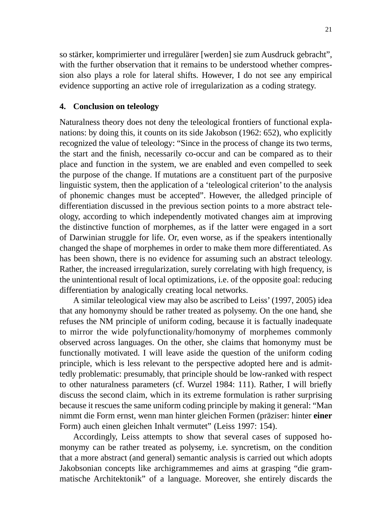so stärker, komprimierter und irregulärer [werden] sie zum Ausdruck gebracht", with the further observation that it remains to be understood whether compression also plays a role for lateral shifts. However, I do not see any empirical evidence supporting an active role of irregularization as a coding strategy.

## **4. Conclusion on teleology**

Naturalness theory does not deny the teleological frontiers of functional explanations: by doing this, it counts on its side Jakobson (1962: 652), who explicitly recognized the value of teleology: "Since in the process of change its two terms, the start and the finish, necessarily co-occur and can be compared as to their place and function in the system, we are enabled and even compelled to seek the purpose of the change. If mutations are a constituent part of the purposive linguistic system, then the application of a 'teleological criterion' to the analysis of phonemic changes must be accepted". However, the alledged principle of differentiation discussed in the previous section points to a more abstract teleology, according to which independently motivated changes aim at improving the distinctive function of morphemes, as if the latter were engaged in a sort of Darwinian struggle for life. Or, even worse, as if the speakers intentionally changed the shape of morphemes in order to make them more differentiated. As has been shown, there is no evidence for assuming such an abstract teleology. Rather, the increased irregularization, surely correlating with high frequency, is the unintentional result of local optimizations, i.e. of the opposite goal: reducing differentiation by analogically creating local networks.

A similar teleological view may also be ascribed to Leiss' (1997, 2005) idea that any homonymy should be rather treated as polysemy. On the one hand, she refuses the NM principle of uniform coding, because it is factually inadequate to mirror the wide polyfunctionality/homonymy of morphemes commonly observed across languages. On the other, she claims that homonymy must be functionally motivated. I will leave aside the question of the uniform coding principle, which is less relevant to the perspective adopted here and is admittedly problematic: presumably, that principle should be low-ranked with respect to other naturalness parameters (cf. Wurzel 1984: 111). Rather, I will briefly discuss the second claim, which in its extreme formulation is rather surprising because it rescues the same uniform coding principle by making it general: "Man nimmt die Form ernst, wenn man hinter gleichen Formen (präziser: hinter **einer** Form) auch einen gleichen Inhalt vermutet" (Leiss 1997: 154).

Accordingly, Leiss attempts to show that several cases of supposed homonymy can be rather treated as polysemy, i.e. syncretism, on the condition that a more abstract (and general) semantic analysis is carried out which adopts Jakobsonian concepts like archigrammemes and aims at grasping "die grammatische Architektonik" of a language. Moreover, she entirely discards the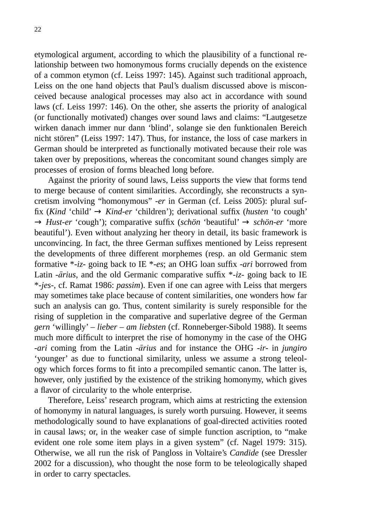etymological argument, according to which the plausibility of a functional relationship between two homonymous forms crucially depends on the existence of a common etymon (cf. Leiss 1997: 145). Against such traditional approach, Leiss on the one hand objects that Paul's dualism discussed above is misconceived because analogical processes may also act in accordance with sound laws (cf. Leiss 1997: 146). On the other, she asserts the priority of analogical (or functionally motivated) changes over sound laws and claims: "Lautgesetze wirken danach immer nur dann 'blind', solange sie den funktionalen Bereich nicht stören" (Leiss 1997: 147). Thus, for instance, the loss of case markers in German should be interpreted as functionally motivated because their role was taken over by prepositions, whereas the concomitant sound changes simply are processes of erosion of forms bleached long before.

Against the priority of sound laws, Leiss supports the view that forms tend to merge because of content similarities. Accordingly, she reconstructs a syncretism involving "homonymous" *-er* in German (cf. Leiss 2005): plural suffix (*Kind 'child'*  $\rightarrow$  *Kind-er 'children'*); derivational suffix (*husten 'to cough'* → *Hust-er* 'cough'); comparative suffix (*schön* 'beautiful' → *schön-er* 'more beautiful'). Even without analyzing her theory in detail, its basic framework is unconvincing. In fact, the three German suffixes mentioned by Leiss represent the developments of three different morphemes (resp. an old Germanic stem formative \*-*iz*- going back to IE \*-*es*; an OHG loan suffix *-ari* borrowed from Latin *-* $\bar{a}$ *rius*, and the old Germanic comparative suffix  $*$ -*iz*- going back to IE \**-jes-*, cf. Ramat 1986: *passim*). Even if one can agree with Leiss that mergers may sometimes take place because of content similarities, one wonders how far such an analysis can go. Thus, content similarity is surely responsible for the rising of suppletion in the comparative and superlative degree of the German *gern* 'willingly' *– lieber – am liebsten* (cf. Ronneberger-Sibold 1988). It seems much more difficult to interpret the rise of homonymy in the case of the OHG *-ari* coming from the Latin *-ārius* and for instance the OHG *-ir-* in *jungiro*  'younger' as due to functional similarity, unless we assume a strong teleology which forces forms to fi t into a precompiled semantic canon. The latter is, however, only justified by the existence of the striking homonymy, which gives a flavor of circularity to the whole enterprise.

Therefore, Leiss' research program, which aims at restricting the extension of homonymy in natural languages, is surely worth pursuing. However, it seems methodologically sound to have explanations of goal-directed activities rooted in causal laws; or, in the weaker case of simple function ascription, to "make evident one role some item plays in a given system" (cf. Nagel 1979: 315). Otherwise, we all run the risk of Pangloss in Voltaire's *Candide* (see Dressler 2002 for a discussion), who thought the nose form to be teleologically shaped in order to carry spectacles.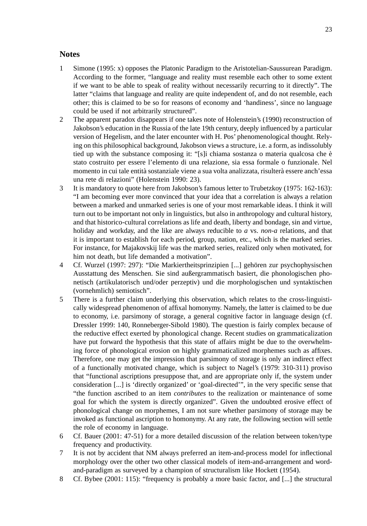## **Notes**

- 1 Simone (1995: x) opposes the Platonic Paradigm to the Aristotelian-Saussurean Paradigm. According to the former, "language and reality must resemble each other to some extent if we want to be able to speak of reality without necessarily recurring to it directly". The latter "claims that language and reality are quite independent of, and do not resemble, each other; this is claimed to be so for reasons of economy and 'handiness', since no language could be used if not arbitrarily structured".
- 2 The apparent paradox disappears if one takes note of Holenstein's (1990) reconstruction of Jakobson's education in the Russia of the late 19th century, deeply influenced by a particular version of Hegelism, and the later encounter with H. Pos' phenomenological thought. Relying on this philosophical background, Jakobson views a structure, i.e. a form, as indissolubly tied up with the substance composing it: "[s]i chiama sostanza o materia qualcosa che è stato costruito per essere l'elemento di una relazione, sia essa formale o funzionale. Nel momento in cui tale entità sostanziale viene a sua volta analizzata, risulterà essere anch'essa una rete di relazioni" (Holenstein 1990: 23).
- 3 It is mandatory to quote here from Jakobson's famous letter to Trubetzkoy (1975: 162-163): "I am becoming ever more convinced that your idea that a correlation is always a relation between a marked and unmarked series is one of your most remarkable ideas. I think it will turn out to be important not only in linguistics, but also in anthropology and cultural history, and that historico-cultural correlations as life and death, liberty and bondage, sin and virtue, holiday and workday, and the like are always reducible to *a* vs. *non-a* relations, and that it is important to establish for each period, group, nation, etc., which is the marked series. For instance, for Majakovskij life was the marked series, realized only when motivated, for him not death, but life demanded a motivation".
- 4 Cf. Wurzel (1997: 297): "Die Markiertheitsprinzipien [...] gehören zur psychophysischen Ausstattung des Menschen. Sie sind außergrammatisch basiert, die phonologischen phonetisch (artikulatorisch und/oder perzeptiv) und die morphologischen und syntaktischen (vornehmlich) semiotisch".
- 5 There is a further claim underlying this observation, which relates to the cross-linguistically widespread phenomenon of affixal homonymy. Namely, the latter is claimed to be due to economy, i.e. parsimony of storage, a general cognitive factor in language design (cf. Dressler 1999: 140, Ronneberger-Sibold 1980). The question is fairly complex because of the reductive effect exerted by phonological change. Recent studies on grammaticalization have put forward the hypothesis that this state of affairs might be due to the overwhelming force of phonological erosion on highly grammaticalized morphemes such as affixes. Therefore, one may get the impression that parsimony of storage is only an indirect effect of a functionally motivated change, which is subject to Nagel's (1979: 310-311) proviso that "functional ascriptions presuppose that, and are appropriate only if, the system under consideration [...] is 'directly organized' or 'goal-directed'", in the very specific sense that "the function ascribed to an item *contributes* to the realization or maintenance of some goal for which the system is directly organized". Given the undoubted erosive effect of phonological change on morphemes, I am not sure whether parsimony of storage may be invoked as functional ascription to homonymy. At any rate, the following section will settle the role of economy in language.
- 6 Cf. Bauer (2001: 47-51) for a more detailed discussion of the relation between token/type frequency and productivity.
- 7 It is not by accident that NM always preferred an item-and-process model for inflectional morphology over the other two other classical models of item-and-arrangement and wordand-paradigm as surveyed by a champion of structuralism like Hockett (1954).
- 8 Cf. Bybee (2001: 115): "frequency is probably a more basic factor, and [...] the structural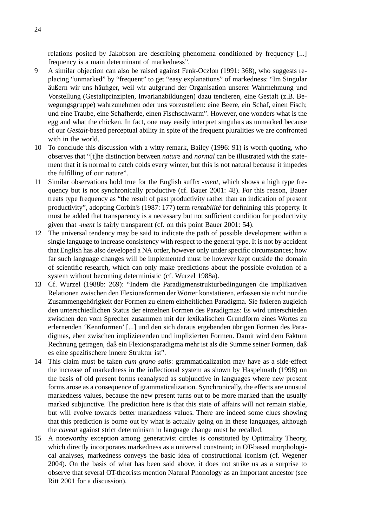relations posited by Jakobson are describing phenomena conditioned by frequency [...] frequency is a main determinant of markedness".

- 9 A similar objection can also be raised against Fenk-Oczlon (1991: 368), who suggests replacing "unmarked" by "frequent" to get "easy explanations" of markedness: "Im Singular äußern wir uns häufiger, weil wir aufgrund der Organisation unserer Wahrnehmung und Vorstellung (Gestaltprinzipien, Invarianzbildungen) dazu tendieren, eine Gestalt (z.B. Bewegungsgruppe) wahrzunehmen oder uns vorzustellen: eine Beere, ein Schaf, einen Fisch; und eine Traube, eine Schafherde, einen Fischschwarm". However, one wonders what is the egg and what the chicken. In fact, one may easily interpret singulars as unmarked because of our *Gestalt*-based perceptual ability in spite of the frequent pluralities we are confronted with in the world.
- 10 To conclude this discussion with a witty remark, Bailey (1996: 91) is worth quoting, who observes that "[t]he distinction between *nature* and *normal* can be illustrated with the statement that it is normal to catch colds every winter, but this is not natural because it impedes the fulfilling of our nature".
- 11 Similar observations hold true for the English suffix *-ment*, which shows a high type frequency but is not synchronically productive (cf. Bauer 2001: 48). For this reason, Bauer treats type frequency as "the result of past productivity rather than an indication of present productivity", adopting Corbin's (1987: 177) term *rentabilité* for definining this property. It must be added that transparency is a necessary but not sufficient condition for productivity given that *-ment* is fairly transparent (cf. on this point Bauer 2001: 54).
- 12 The universal tendency may be said to indicate the path of possible development within a single language to increase consistency with respect to the general type. It is not by accident that English has also developed a NA order, however only under specific circumstances; how far such language changes will be implemented must be however kept outside the domain of scientific research, which can only make predictions about the possible evolution of a system without becoming deterministic (cf. Wurzel 1988a).
- 13 Cf. Wurzel (1988b: 269): "Indem die Paradigmenstrukturbedingungen die implikativen Relationen zwischen den Flexionsformen der Wörter konstatieren, erfassen sie nicht nur die Zusammengehörigkeit der Formen zu einem einheitlichen Paradigma. Sie fixieren zugleich den unterschiedlichen Status der einzelnen Formen des Paradigmas: Es wird unterschieden zwischen den vom Sprecher zusammen mit der lexikalischen Grundform eines Wortes zu erlernenden 'Kennformen' [...] und den sich daraus ergebenden übrigen Formen des Paradigmas, eben zwischen implizierenden und implizierten Formen. Damit wird dem Faktum Rechnung getragen, daß ein Flexionsparadigma mehr ist als die Summe seiner Formen, daß es eine spezifischere innere Struktur ist".
- 14 This claim must be taken *cum grano salis*: grammaticalization may have as a side-effect the increase of markedness in the inflectional system as shown by Haspelmath (1998) on the basis of old present forms reanalysed as subjunctive in languages where new present forms arose as a consequence of grammaticalization. Synchronically, the effects are unusual markedness values, because the new present turns out to be more marked than the usually marked subjunctive. The prediction here is that this state of affairs will not remain stable, but will evolve towards better markedness values. There are indeed some clues showing that this prediction is borne out by what is actually going on in these languages, although the *caveat* against strict determinism in language change must be recalled.
- 15 A noteworthy exception among generativist circles is constituted by Optimality Theory, which directly incorporates markedness as a universal constraint; in OT-based morphological analyses, markedness conveys the basic idea of constructional iconism (cf. Wegener 2004). On the basis of what has been said above, it does not strike us as a surprise to observe that several OT-theorists mention Natural Phonology as an important ancestor (see Ritt 2001 for a discussion).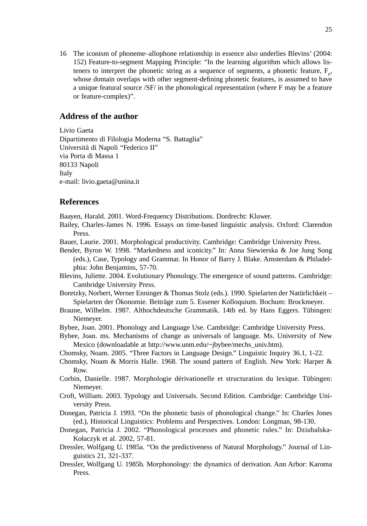16 The iconism of phoneme–allophone relationship in essence also underlies Blevins' (2004: 152) Feature-to-segment Mapping Principle: "In the learning algorithm which allows listeners to interpret the phonetic string as a sequence of segments, a phonetic feature,  $F_p$ , whose domain overlaps with other segment-defining phonetic features, is assumed to have a unique featural source /SF/ in the phonological representation (where F may be a feature or feature-complex)".

#### **Address of the author**

Livio Gaeta Dipartimento di Filologia Moderna "S. Battaglia" Università di Napoli "Federico II" via Porta di Massa 1 80133 Napoli Italy e-mail: livio.gaeta@unina.it

#### **References**

Baayen, Harald. 2001. Word-Frequency Distributions. Dordrecht: Kluwer.

- Bailey, Charles-James N. 1996. Essays on time-based linguistic analysis. Oxford: Clarendon Press.
- Bauer, Laurie. 2001. Morphological productivity. Cambridge: Cambridge University Press.
- Bender, Byron W. 1998. "Markedness and iconicity." In: Anna Siewierska & Joe Jung Song (eds.), Case, Typology and Grammar. In Honor of Barry J. Blake. Amsterdam & Philadelphia: John Benjamins, 57-70.
- Blevins, Juliette. 2004. Evolutionary Phonology. The emergence of sound patterns. Cambridge: Cambridge University Press.
- Boretzky, Norbert, Werner Enninger & Thomas Stolz (eds.). 1990. Spielarten der Natürlichkeit Spielarten der Ökonomie. Beiträge zum 5. Essener Kolloquium. Bochum: Brockmeyer.
- Braune, Wilhelm. 1987. Althochdeutsche Grammatik. 14th ed. by Hans Eggers. Tübingen: Niemeyer.
- Bybee, Joan. 2001. Phonology and Language Use. Cambridge: Cambridge University Press.

Bybee, Joan. ms. Mechanisms of change as universals of language. Ms. University of New Mexico (downloadable at http://www.unm.edu/~jbybee/mechs\_univ.htm).

- Chomsky, Noam. 2005. "Three Factors in Language Design." Linguistic Inquiry 36.1, 1-22.
- Chomsky, Noam & Morris Halle. 1968. The sound pattern of English. New York: Harper & Row.
- Corbin, Danielle. 1987. Morphologie dérivationelle et structuration du lexique. Tübingen: Niemeyer.
- Croft, William. 2003. Typology and Universals. Second Edition. Cambridge: Cambridge University Press.
- Donegan, Patricia J. 1993. "On the phonetic basis of phonological change." In: Charles Jones (ed.), Historical Linguistics: Problems and Perspectives. London: Longman, 98-130.
- Donegan, Patricia J. 2002. "Phonological processes and phonetic rules." In: Dziubalska-Kołaczyk et al. 2002, 57-81.
- Dressler, Wolfgang U. 1985a. "On the predictiveness of Natural Morphology." Journal of Linguistics 21, 321-337.
- Dressler, Wolfgang U. 1985b. Morphonology: the dynamics of derivation. Ann Arbor: Karoma Press.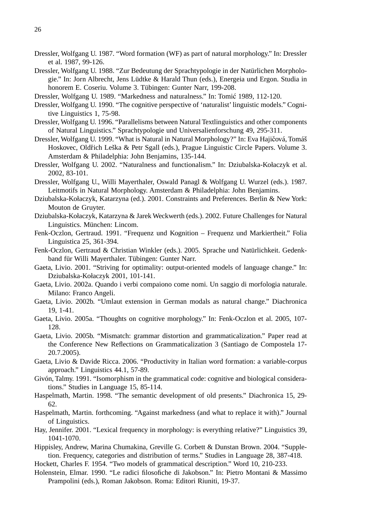- Dressler, Wolfgang U. 1987. "Word formation (WF) as part of natural morphology." In: Dressler et al. 1987, 99-126.
- Dressler, Wolfgang U. 1988. "Zur Bedeutung der Sprachtypologie in der Natürlichen Morphologie." In: Jorn Albrecht, Jens Lüdtke & Harald Thun (eds.), Energeia und Ergon. Studia in honorem E. Coseriu. Volume 3. Tübingen: Gunter Narr, 199-208.
- Dressler, Wolfgang U. 1989. "Markedness and naturalness." In: Tomić 1989, 112-120.
- Dressler, Wolfgang U. 1990. "The cognitive perspective of 'naturalist' linguistic models." Cognitive Linguistics 1, 75-98.
- Dressler, Wolfgang U. 1996. "Parallelisms between Natural Textlinguistics and other components of Natural Linguistics." Sprachtypologie und Universalienforschung 49, 295-311.
- Dressler, Wolfgang U. 1999. "What is Natural in Natural Morphology?" In: Eva Hajičová, Tomáš Hoskovec, Oldřich Leška & Petr Sgall (eds.), Prague Linguistic Circle Papers. Volume 3. Amsterdam & Philadelphia: John Benjamins, 135-144.
- Dressler, Wolfgang U. 2002. "Naturalness and functionalism." In: Dziubalska-Kołaczyk et al. 2002, 83-101.
- Dressler, Wolfgang U., Willi Mayerthaler, Oswald Panagl & Wolfgang U. Wurzel (eds.). 1987. Leitmotifs in Natural Morphology. Amsterdam & Philadelphia: John Benjamins.
- Dziubalska-Kołaczyk, Katarzyna (ed.). 2001. Constraints and Preferences. Berlin & New York: Mouton de Gruyter.
- Dziubalska-Kołaczyk, Katarzyna & Jarek Weckwerth (eds.). 2002. Future Challenges for Natural Linguistics. München: Lincom.
- Fenk-Oczlon, Gertraud. 1991. "Frequenz und Kognition Frequenz und Markiertheit." Folia Linguistica 25, 361-394.
- Fenk-Oczlon, Gertraud & Christian Winkler (eds.). 2005. Sprache und Natürlichkeit. Gedenkband für Willi Mayerthaler. Tübingen: Gunter Narr.
- Gaeta, Livio. 2001. "Striving for optimality: output-oriented models of language change." In: Dziubalska-Kołaczyk 2001, 101-141.
- Gaeta, Livio. 2002a. Quando i verbi compaiono come nomi. Un saggio di morfologia naturale. Milano: Franco Angeli.
- Gaeta, Livio. 2002b. "Umlaut extension in German modals as natural change." Diachronica 19, 1-41.
- Gaeta, Livio. 2005a. "Thoughts on cognitive morphology." In: Fenk-Oczlon et al. 2005, 107- 128.
- Gaeta, Livio. 2005b. "Mismatch: grammar distortion and grammaticalization." Paper read at the Conference New Reflections on Grammaticalization 3 (Santiago de Compostela 17-20.7.2005).
- Gaeta, Livio & Davide Ricca. 2006. "Productivity in Italian word formation: a variable-corpus approach." Linguistics 44.1, 57-89.
- Givón, Talmy. 1991. "Isomorphism in the grammatical code: cognitive and biological considerations." Studies in Language 15, 85-114.
- Haspelmath, Martin. 1998. "The semantic development of old presents." Diachronica 15, 29- 62.
- Haspelmath, Martin. forthcoming. "Against markedness (and what to replace it with)." Journal of Linguistics.
- Hay, Jennifer. 2001. "Lexical frequency in morphology: is everything relative?" Linguistics 39, 1041-1070.
- Hippisley, Andrew, Marina Chumakina, Greville G. Corbett & Dunstan Brown. 2004. "Suppletion. Frequency, categories and distribution of terms." Studies in Language 28, 387-418.
- Hockett, Charles F. 1954. "Two models of grammatical description." Word 10, 210-233.
- Holenstein, Elmar. 1990. "Le radici filosofiche di Jakobson." In: Pietro Montani & Massimo Prampolini (eds.), Roman Jakobson. Roma: Editori Riuniti, 19-37.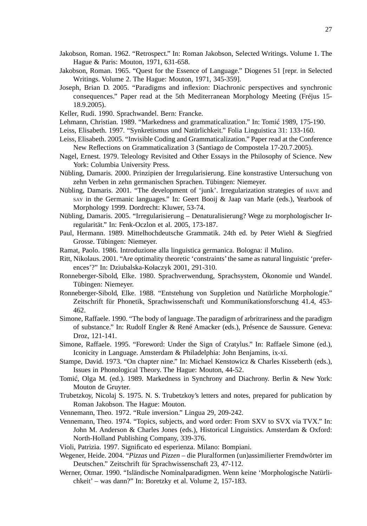- Jakobson, Roman. 1962. "Retrospect." In: Roman Jakobson, Selected Writings. Volume 1. The Hague & Paris: Mouton, 1971, 631-658.
- Jakobson, Roman. 1965. "Quest for the Essence of Language." Diogenes 51 [repr. in Selected Writings. Volume 2. The Hague: Mouton, 1971, 345-359].
- Joseph, Brian D. 2005. "Paradigms and inflexion: Diachronic perspectives and synchronic consequences." Paper read at the 5th Mediterranean Morphology Meeting (Fréjus 15- 18.9.2005).
- Keller, Rudi. 1990. Sprachwandel. Bern: Francke.
- Lehmann, Christian. 1989. "Markedness and grammaticalization." In: Tomić 1989, 175-190.
- Leiss, Elisabeth. 1997. "Synkretismus und Natürlichkeit." Folia Linguistica 31: 133-160.
- Leiss, Elisabeth. 2005. "Invisible Coding and Grammaticalization." Paper read at the Conference New Reflections on Grammaticalization 3 (Santiago de Compostela 17-20.7.2005).
- Nagel, Ernest. 1979. Teleology Revisited and Other Essays in the Philosophy of Science. New York: Columbia University Press.
- Nübling, Damaris. 2000. Prinzipien der Irregularisierung. Eine konstrastive Untersuchung von zehn Verben in zehn germanischen Sprachen. Tübingen: Niemeyer.
- Nübling, Damaris. 2001. "The development of 'junk'. Irregularization strategies of HAVE and SAY in the Germanic languages." In: Geert Booij & Jaap van Marle (eds.), Yearbook of Morphology 1999. Dordrecht: Kluwer, 53-74.
- Nübling, Damaris. 2005. "Irregularisierung Denaturalisierung? Wege zu morphologischer Irregularität." In: Fenk-Oczlon et al. 2005, 173-187.
- Paul, Hermann. 1989. Mittelhochdeutsche Grammatik. 24th ed. by Peter Wiehl & Siegfried Grosse. Tübingen: Niemeyer.
- Ramat, Paolo. 1986. Introduzione alla linguistica germanica. Bologna: il Mulino.
- Ritt, Nikolaus. 2001. "Are optimality theoretic 'constraints' the same as natural linguistic 'preferences'?" In: Dziubalska-Kołaczyk 2001, 291-310.
- Ronneberger-Sibold, Elke. 1980. Sprachverwendung, Sprachsystem, Ökonomie und Wandel. Tübingen: Niemeyer.
- Ronneberger-Sibold, Elke. 1988. "Entstehung von Suppletion und Natürliche Morphologie." Zeitschrift für Phonetik, Sprachwissenschaft und Kommunikationsforschung 41.4, 453- 462.
- Simone, Raffaele. 1990. "The body of language. The paradigm of arbritrariness and the paradigm of substance." In: Rudolf Engler & René Amacker (eds.), Présence de Saussure. Geneva: Droz, 121-141.
- Simone, Raffaele. 1995. "Foreword: Under the Sign of Cratylus." In: Raffaele Simone (ed.), Iconicity in Language. Amsterdam & Philadelphia: John Benjamins, ix-xi.
- Stampe, David. 1973. "On chapter nine." In: Michael Kenstowicz & Charles Kisseberth (eds.), Issues in Phonological Theory. The Hague: Mouton, 44-52.
- Tomić, Olga M. (ed.). 1989. Markedness in Synchrony and Diachrony. Berlin & New York: Mouton de Gruyter.
- Trubetzkoy, Nicolaj S. 1975. N. S. Trubetzkoy's letters and notes, prepared for publication by Roman Jakobson. The Hague: Mouton.
- Vennemann, Theo. 1972. "Rule inversion." Lingua 29, 209-242.
- Vennemann, Theo. 1974. "Topics, subjects, and word order: From SXV to SVX via TVX." In: John M. Anderson & Charles Jones (eds.), Historical Linguistics. Amsterdam & Oxford: North-Holland Publishing Company, 339-376.

Violi, Patrizia. 1997. Significato ed esperienza. Milano: Bompiani.

- Wegener, Heide. 2004. "*Pizzas* und *Pizzen*  die Pluralformen (un)assimilierter Fremdwörter im Deutschen." Zeitschrift für Sprachwissenschaft 23, 47-112.
- Werner, Otmar. 1990. "Isländische Nominalparadigmen. Wenn keine 'Morphologische Natürlichkeit' – was dann?" In: Boretzky et al. Volume 2, 157-183.